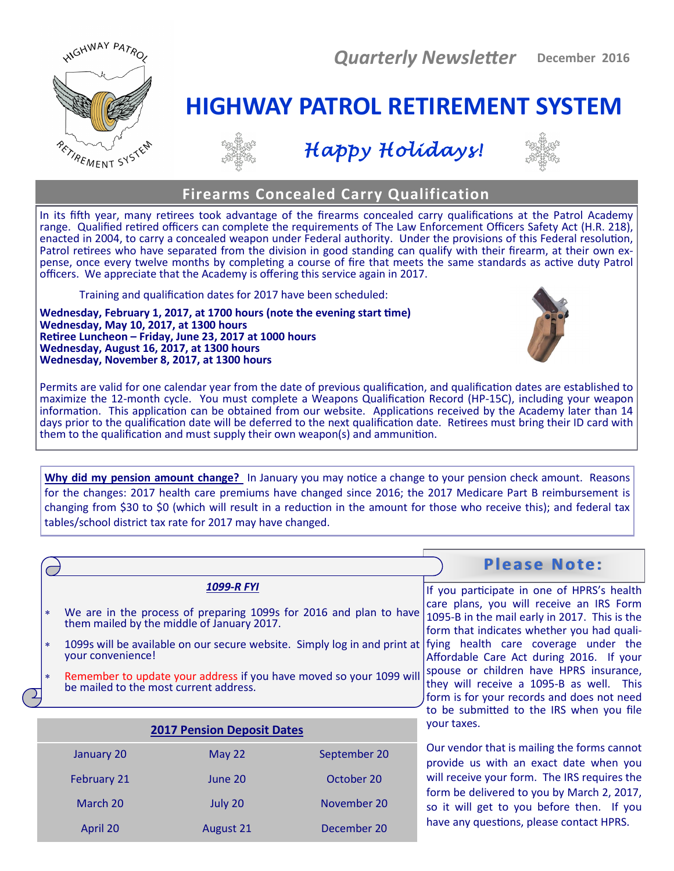



# *Happy Holidays!*

**HIGHWAY PATROL RETIREMENT SYSTEM**



## **Firearms Concealed Carry Qualification**

In its fifth year, many retirees took advantage of the firearms concealed carry qualifications at the Patrol Academy range. Qualified retired officers can complete the requirements of The Law Enforcement Officers Safety Act (H.R. 218), enacted in 2004, to carry a concealed weapon under Federal authority. Under the provisions of this Federal resolution, Patrol retirees who have separated from the division in good standing can qualify with their firearm, at their own expense, once every twelve months by completing a course of fire that meets the same standards as active duty Patrol officers. We appreciate that the Academy is offering this service again in 2017.

Training and qualification dates for 2017 have been scheduled:

**Wednesday, February 1, 2017, at 1700 hours (note the evening start time) Wednesday, May 10, 2017, at 1300 hours Retiree Luncheon – Friday, June 23, 2017 at 1000 hours Wednesday, August 16, 2017, at 1300 hours Wednesday, November 8, 2017, at 1300 hours**



Permits are valid for one calendar year from the date of previous qualification, and qualification dates are established to maximize the 12-month cycle. You must complete a Weapons Qualification Record (HP-15C), including your weapon information. This application can be obtained from our website. Applications received by the Academy later than 14 days prior to the qualification date will be deferred to the next qualification date. Retirees must bring their ID card with them to the qualification and must supply their own weapon(s) and ammunition.

**Why did my pension amount change?** In January you may notice a change to your pension check amount. Reasons for the changes: 2017 health care premiums have changed since 2016; the 2017 Medicare Part B reimbursement is changing from \$30 to \$0 (which will result in a reduction in the amount for those who receive this); and federal tax tables/school district tax rate for 2017 may have changed.

|                             |                                                                                                                  |              | <b>Please Note:</b>                                                                                                                                                                                                                                                                                                                                                                                                                                                                                    |
|-----------------------------|------------------------------------------------------------------------------------------------------------------|--------------|--------------------------------------------------------------------------------------------------------------------------------------------------------------------------------------------------------------------------------------------------------------------------------------------------------------------------------------------------------------------------------------------------------------------------------------------------------------------------------------------------------|
|                             | <b>1099-R FYI</b>                                                                                                |              | If you participate in one of HPRS's health                                                                                                                                                                                                                                                                                                                                                                                                                                                             |
| *                           | We are in the process of preparing 1099s for 2016 and plan to have<br>them mailed by the middle of January 2017. |              | care plans, you will receive an IRS Form<br>1095-B in the mail early in 2017. This is the<br>form that indicates whether you had quali-<br>1099s will be available on our secure website. Simply log in and print at  fying health care coverage under the<br>Affordable Care Act during 2016. If your<br>spouse or children have HPRS insurance,<br>they will receive a 1095-B as well. This<br>form is for your records and does not need<br>to be submitted to the IRS when you file<br>your taxes. |
| $\ast$<br>your convenience! |                                                                                                                  |              |                                                                                                                                                                                                                                                                                                                                                                                                                                                                                                        |
| $\ast$                      | Remember to update your address if you have moved so your 1099 will<br>be mailed to the most current address.    |              |                                                                                                                                                                                                                                                                                                                                                                                                                                                                                                        |
|                             | <b>2017 Pension Deposit Dates</b>                                                                                |              |                                                                                                                                                                                                                                                                                                                                                                                                                                                                                                        |
| January 20                  | May 22                                                                                                           | September 20 | Our vendor that is mailing the forms cannot<br>provide us with an exact date when you                                                                                                                                                                                                                                                                                                                                                                                                                  |
| February 21                 | June 20                                                                                                          | October 20   | will receive your form. The IRS requires the                                                                                                                                                                                                                                                                                                                                                                                                                                                           |
| March 20                    | July 20                                                                                                          | November 20  | form be delivered to you by March 2, 2017,<br>so it will get to you before then. If you                                                                                                                                                                                                                                                                                                                                                                                                                |
| April 20                    | August 21                                                                                                        | December 20  | have any questions, please contact HPRS.                                                                                                                                                                                                                                                                                                                                                                                                                                                               |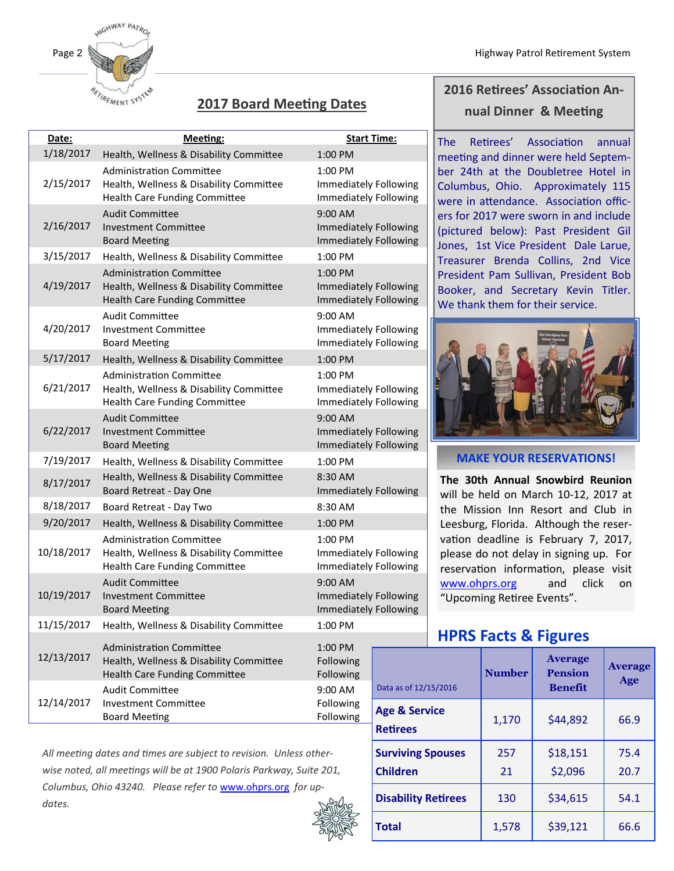

## **2017 Board Meeting Dates**

| Date:      | <b>Meeting:</b>                                                                                                    | <b>Start Time:</b>                                          |                           |
|------------|--------------------------------------------------------------------------------------------------------------------|-------------------------------------------------------------|---------------------------|
| 1/18/2017  | Health, Wellness & Disability Committee                                                                            | 1:00 PM                                                     |                           |
| 2/15/2017  | <b>Administration Committee</b><br>Health, Wellness & Disability Committee<br>Health Care Funding Committee        | 1:00 PM<br>Immediately Following<br>Immediately Following   |                           |
| 2/16/2017  | <b>Audit Committee</b><br><b>Investment Committee</b><br><b>Board Meeting</b>                                      | $9:00$ AM<br>Immediately Following<br>Immediately Following |                           |
| 3/15/2017  | Health, Wellness & Disability Committee                                                                            | $1:00$ PM                                                   |                           |
| 4/19/2017  | <b>Administration Committee</b><br>Health, Wellness & Disability Committee<br><b>Health Care Funding Committee</b> | 1:00 PM<br>Immediately Following<br>Immediately Following   |                           |
| 4/20/2017  | <b>Audit Committee</b><br><b>Investment Committee</b><br><b>Board Meeting</b>                                      | 9:00 AM<br>Immediately Following<br>Immediately Following   |                           |
| 5/17/2017  | Health, Wellness & Disability Committee                                                                            | 1:00 PM                                                     |                           |
| 6/21/2017  | <b>Administration Committee</b><br>Health, Wellness & Disability Committee<br>Health Care Funding Committee        | 1:00 PM<br>Immediately Following<br>Immediately Following   |                           |
| 6/22/2017  | <b>Audit Committee</b><br><b>Investment Committee</b><br><b>Board Meeting</b>                                      | $9:00$ AM<br>Immediately Following<br>Immediately Following |                           |
| 7/19/2017  | Health, Wellness & Disability Committee                                                                            | $1:00$ PM                                                   |                           |
| 8/17/2017  | Health, Wellness & Disability Committee<br><b>Board Retreat - Day One</b>                                          | 8:30 AM<br>Immediately Following                            |                           |
| 8/18/2017  | Board Retreat - Day Two                                                                                            | 8:30 AM                                                     |                           |
| 9/20/2017  | Health, Wellness & Disability Committee                                                                            | 1:00 PM                                                     |                           |
| 10/18/2017 | <b>Administration Committee</b><br>Health, Wellness & Disability Committee<br><b>Health Care Funding Committee</b> | 1:00 PM<br>Immediately Following<br>Immediately Following   |                           |
| 10/19/2017 | <b>Audit Committee</b><br><b>Investment Committee</b><br><b>Board Meeting</b>                                      | 9:00 AM<br>Immediately Following<br>Immediately Following   |                           |
| 11/15/2017 | Health, Wellness & Disability Committee                                                                            | 1:00 PM                                                     |                           |
| 12/13/2017 | <b>Administration Committee</b><br>Health, Wellness & Disability Committee<br><b>Health Care Funding Committee</b> | 1:00 PM<br>Following<br>Following                           |                           |
| 12/14/2017 | <b>Audit Committee</b><br><b>Investment Committee</b>                                                              | 9:00 AM<br>Following                                        | Data as of 12<br>Age & Se |
|            | <b>Board Meeting</b>                                                                                               | Following                                                   |                           |

*All meeting dates and times are subject to revision. Unless otherwise noted, all meetings will be at 1900 Polaris Parkway, Suite 201, Columbus, Ohio 43240. Please refer to* [www.ohprs.org](http://www.ohprs.org) *for updates.*



## **2016 Retirees' Association Annual Dinner & Meeting**

The Retirees' Association annual meeting and dinner were held September 24th at the Doubletree Hotel in Columbus, Ohio. Approximately 115 were in attendance. Association officers for 2017 were sworn in and include (pictured below): Past President Gil Jones, 1st Vice President Dale Larue, Treasurer Brenda Collins, 2nd Vice President Pam Sullivan, President Bob Booker, and Secretary Kevin Titler. We thank them for their service.



#### **MAKE YOUR RESERVATIONS!**

**The 30th Annual Snowbird Reunion**  will be held on March 10-12, 2017 at the Mission Inn Resort and Club in Leesburg, Florida. Although the reservation deadline is February 7, 2017, please do not delay in signing up. For reservation information, please visit [www.ohprs.org](http://www.ohprs.org) and click on "Upcoming Retiree Events".

## **HPRS Facts & Figures**

|  | Data as of 12/15/2016                       | <b>Number</b> | <b>Average</b><br><b>Pension</b><br><b>Benefit</b> | <b>Average</b><br>Age |
|--|---------------------------------------------|---------------|----------------------------------------------------|-----------------------|
|  | <b>Age &amp; Service</b><br><b>Retirees</b> | 1,170         | \$44,892                                           | 66.9                  |
|  | <b>Surviving Spouses</b><br><b>Children</b> | 257<br>21     | \$18,151<br>\$2,096                                | 75.4<br>20.7          |
|  | <b>Disability Retirees</b>                  | 130           | \$34,615                                           | 54.1                  |
|  | <b>Total</b>                                | 1,578         | \$39,121                                           | 66.6                  |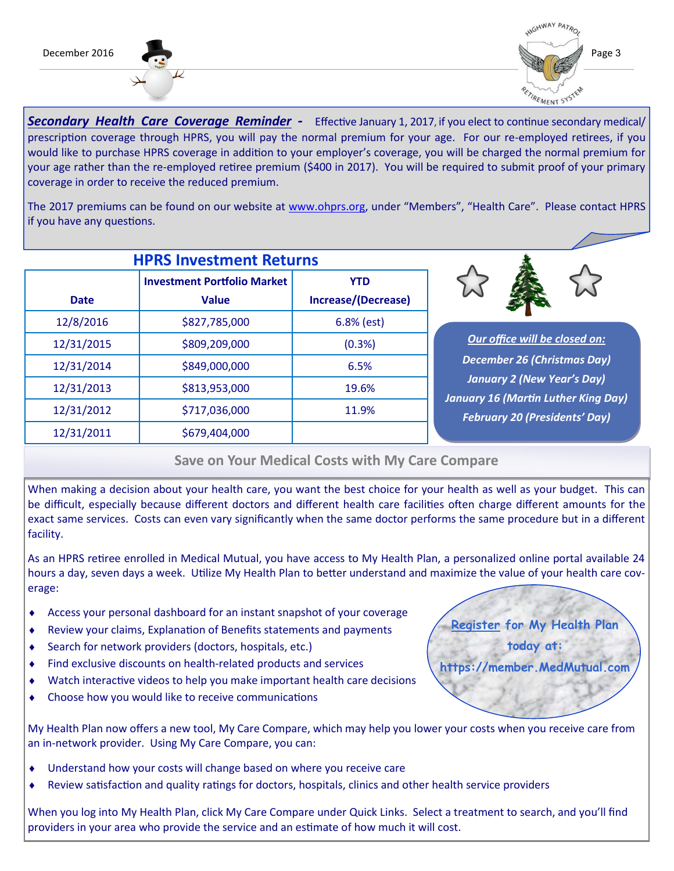



*Secondary Health Care Coverage Reminder -* Effective January 1, 2017, if you elect to continue secondary medical/ prescription coverage through HPRS, you will pay the normal premium for your age. For our re-employed retirees, if you would like to purchase HPRS coverage in addition to your employer's coverage, you will be charged the normal premium for your age rather than the re-employed retiree premium (\$400 in 2017). You will be required to submit proof of your primary coverage in order to receive the reduced premium.

The 2017 premiums can be found on our website at [www.ohprs.org,](http://www.ohprs.org) under "Members", "Health Care". Please contact HPRS if you have any questions.

| <b>HPRS Investment Returns</b> |                                                    |                                   |  |  |
|--------------------------------|----------------------------------------------------|-----------------------------------|--|--|
| <b>Date</b>                    | <b>Investment Portfolio Market</b><br><b>Value</b> | <b>YTD</b><br>Increase/(Decrease) |  |  |
| 12/8/2016                      | \$827,785,000                                      | $6.8%$ (est)                      |  |  |
| 12/31/2015                     | \$809,209,000                                      | (0.3%)                            |  |  |
| 12/31/2014                     | \$849,000,000                                      | 6.5%                              |  |  |
| 12/31/2013                     | \$813,953,000                                      | 19.6%                             |  |  |
| 12/31/2012                     | \$717,036,000                                      | 11.9%                             |  |  |
| 12/31/2011                     | \$679,404,000                                      |                                   |  |  |



*Our office will be closed on: December 26 (Christmas Day) January 2 (New Year's Day) January 16 (Martin Luther King Day) February 20 (Presidents' Day)*

### **Save on Your Medical Costs with My Care Compare**

When making a decision about your health care, you want the best choice for your health as well as your budget. This can be difficult, especially because different doctors and different health care facilities often charge different amounts for the exact same services. Costs can even vary significantly when the same doctor performs the same procedure but in a different facility.

As an HPRS retiree enrolled in Medical Mutual, you have access to My Health Plan, a personalized online portal available 24 hours a day, seven days a week. Utilize My Health Plan to better understand and maximize the value of your health care coverage:

- Access your personal dashboard for an instant snapshot of your coverage
- Review your claims, Explanation of Benefits statements and payments
- Search for network providers (doctors, hospitals, etc.)
- Find exclusive discounts on health-related products and services
- Watch interactive videos to help you make important health care decisions
- Choose how you would like to receive communications

My Health Plan now offers a new tool, My Care Compare, which may help you lower your costs when you receive care from an in-network provider. Using My Care Compare, you can:

- Understand how your costs will change based on where you receive care
- Review satisfaction and quality ratings for doctors, hospitals, clinics and other health service providers

When you log into My Health Plan, click My Care Compare under Quick Links. Select a treatment to search, and you'll find providers in your area who provide the service and an estimate of how much it will cost.

**Register for My Health Plan today at: https://member.MedMutual.com**